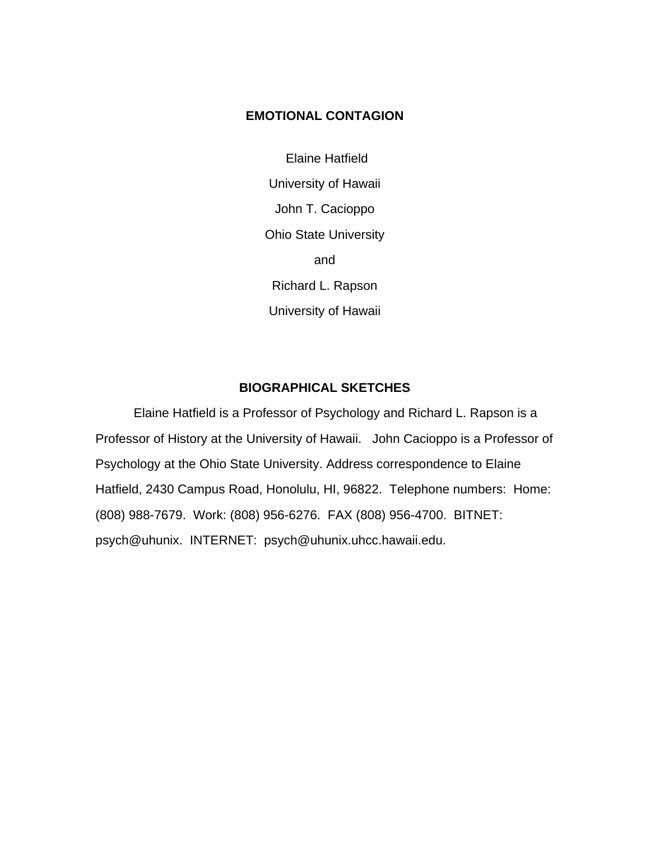### **EMOTIONAL CONTAGION**

Elaine Hatfield University of Hawaii John T. Cacioppo Ohio State University and Richard L. Rapson University of Hawaii

# **BIOGRAPHICAL SKETCHES**

 Elaine Hatfield is a Professor of Psychology and Richard L. Rapson is a Professor of History at the University of Hawaii. John Cacioppo is a Professor of Psychology at the Ohio State University. Address correspondence to Elaine Hatfield, 2430 Campus Road, Honolulu, HI, 96822. Telephone numbers: Home: (808) 988-7679. Work: (808) 956-6276. FAX (808) 956-4700. BITNET: psych@uhunix. INTERNET: psych@uhunix.uhcc.hawaii.edu.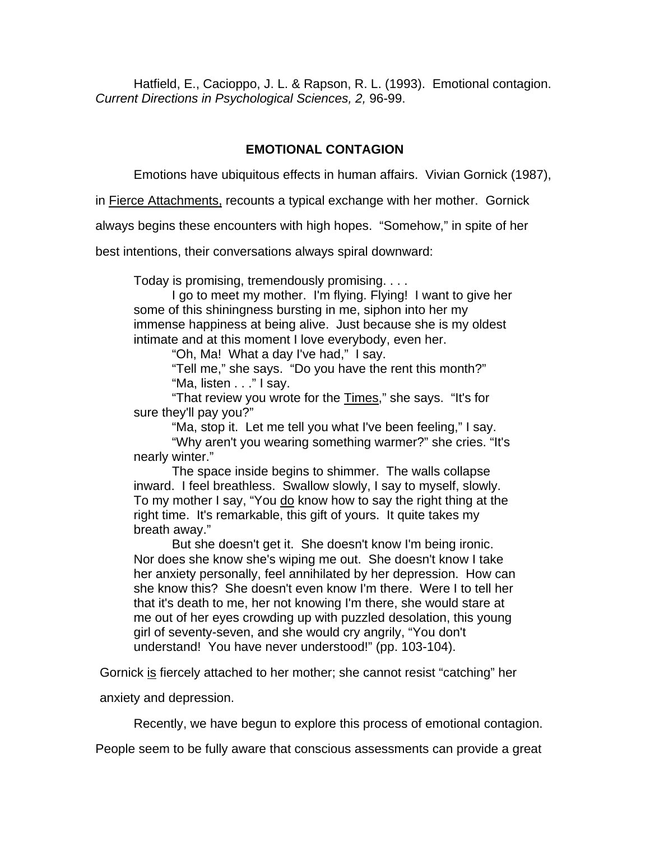Hatfield, E., Cacioppo, J. L. & Rapson, R. L. (1993). Emotional contagion. *Current Directions in Psychological Sciences, 2,* 96-99.

### **EMOTIONAL CONTAGION**

Emotions have ubiquitous effects in human affairs. Vivian Gornick (1987),

in Fierce Attachments, recounts a typical exchange with her mother. Gornick

always begins these encounters with high hopes. "Somehow," in spite of her

best intentions, their conversations always spiral downward:

Today is promising, tremendously promising. . . .

 I go to meet my mother. I'm flying. Flying! I want to give her some of this shiningness bursting in me, siphon into her my immense happiness at being alive. Just because she is my oldest intimate and at this moment I love everybody, even her.

"Oh, Ma! What a day I've had," I say.

 "Tell me," she says. "Do you have the rent this month?" "Ma, listen . . ." I say.

 "That review you wrote for the Times," she says. "It's for sure they'll pay you?"

"Ma, stop it. Let me tell you what I've been feeling," I say.

 "Why aren't you wearing something warmer?" she cries. "It's nearly winter."

 The space inside begins to shimmer. The walls collapse inward. I feel breathless. Swallow slowly, I say to myself, slowly. To my mother I say, "You do know how to say the right thing at the right time. It's remarkable, this gift of yours. It quite takes my breath away."

 But she doesn't get it. She doesn't know I'm being ironic. Nor does she know she's wiping me out. She doesn't know I take her anxiety personally, feel annihilated by her depression. How can she know this? She doesn't even know I'm there. Were I to tell her that it's death to me, her not knowing I'm there, she would stare at me out of her eyes crowding up with puzzled desolation, this young girl of seventy-seven, and she would cry angrily, "You don't understand! You have never understood!" (pp. 103-104).

Gornick is fiercely attached to her mother; she cannot resist "catching" her

anxiety and depression.

Recently, we have begun to explore this process of emotional contagion.

People seem to be fully aware that conscious assessments can provide a great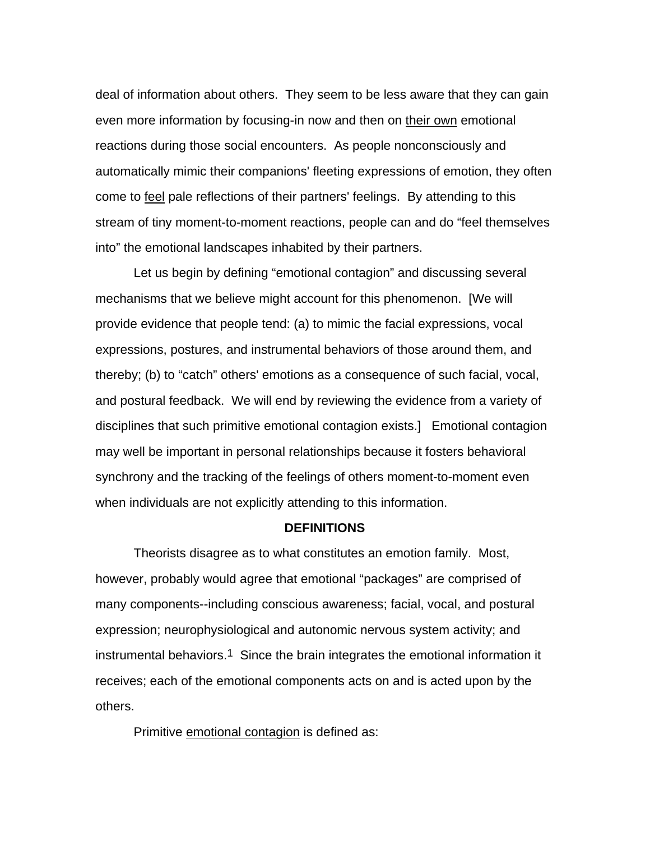deal of information about others. They seem to be less aware that they can gain even more information by focusing-in now and then on their own emotional reactions during those social encounters. As people nonconsciously and automatically mimic their companions' fleeting expressions of emotion, they often come to feel pale reflections of their partners' feelings. By attending to this stream of tiny moment-to-moment reactions, people can and do "feel themselves into" the emotional landscapes inhabited by their partners.

 Let us begin by defining "emotional contagion" and discussing several mechanisms that we believe might account for this phenomenon. [We will provide evidence that people tend: (a) to mimic the facial expressions, vocal expressions, postures, and instrumental behaviors of those around them, and thereby; (b) to "catch" others' emotions as a consequence of such facial, vocal, and postural feedback. We will end by reviewing the evidence from a variety of disciplines that such primitive emotional contagion exists.] Emotional contagion may well be important in personal relationships because it fosters behavioral synchrony and the tracking of the feelings of others moment-to-moment even when individuals are not explicitly attending to this information.

#### **DEFINITIONS**

 Theorists disagree as to what constitutes an emotion family. Most, however, probably would agree that emotional "packages" are comprised of many components--including conscious awareness; facial, vocal, and postural expression; neurophysiological and autonomic nervous system activity; and instrumental behaviors.<sup>1</sup> Since the brain integrates the emotional information it receives; each of the emotional components acts on and is acted upon by the others.

Primitive emotional contagion is defined as: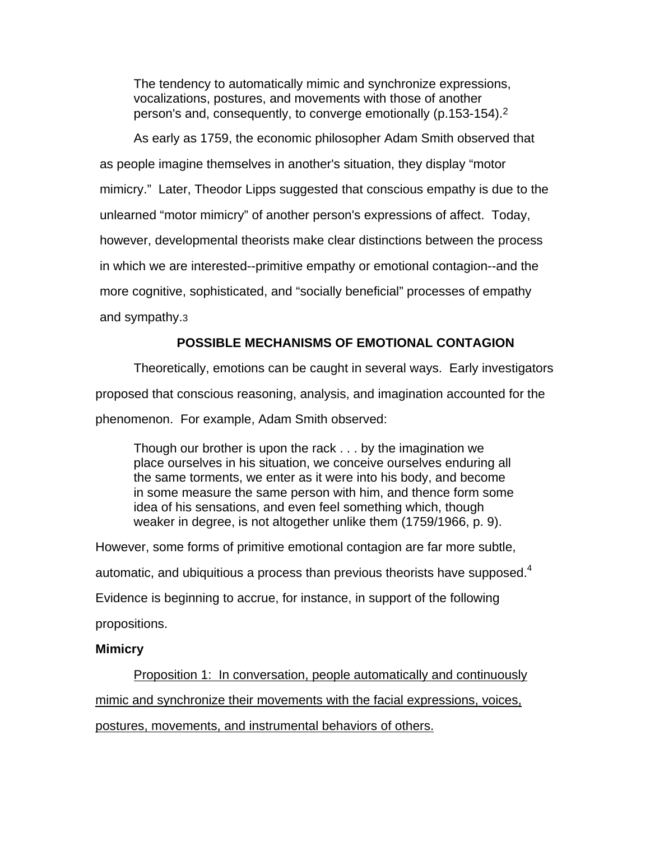The tendency to automatically mimic and synchronize expressions, vocalizations, postures, and movements with those of another person's and, consequently, to converge emotionally (p.153-154).2

 As early as 1759, the economic philosopher Adam Smith observed that as people imagine themselves in another's situation, they display "motor mimicry." Later, Theodor Lipps suggested that conscious empathy is due to the unlearned "motor mimicry" of another person's expressions of affect. Today, however, developmental theorists make clear distinctions between the process in which we are interested--primitive empathy or emotional contagion--and the more cognitive, sophisticated, and "socially beneficial" processes of empathy and sympathy.3

# **POSSIBLE MECHANISMS OF EMOTIONAL CONTAGION**

Theoretically, emotions can be caught in several ways. Early investigators

proposed that conscious reasoning, analysis, and imagination accounted for the

phenomenon. For example, Adam Smith observed:

Though our brother is upon the rack . . . by the imagination we place ourselves in his situation, we conceive ourselves enduring all the same torments, we enter as it were into his body, and become in some measure the same person with him, and thence form some idea of his sensations, and even feel something which, though weaker in degree, is not altogether unlike them (1759/1966, p. 9).

However, some forms of primitive emotional contagion are far more subtle,

automatic, and ubiquitious a process than previous theorists have supposed. $4$ 

Evidence is beginning to accrue, for instance, in support of the following

propositions.

## **Mimicry**

Proposition 1: In conversation, people automatically and continuously mimic and synchronize their movements with the facial expressions, voices, postures, movements, and instrumental behaviors of others.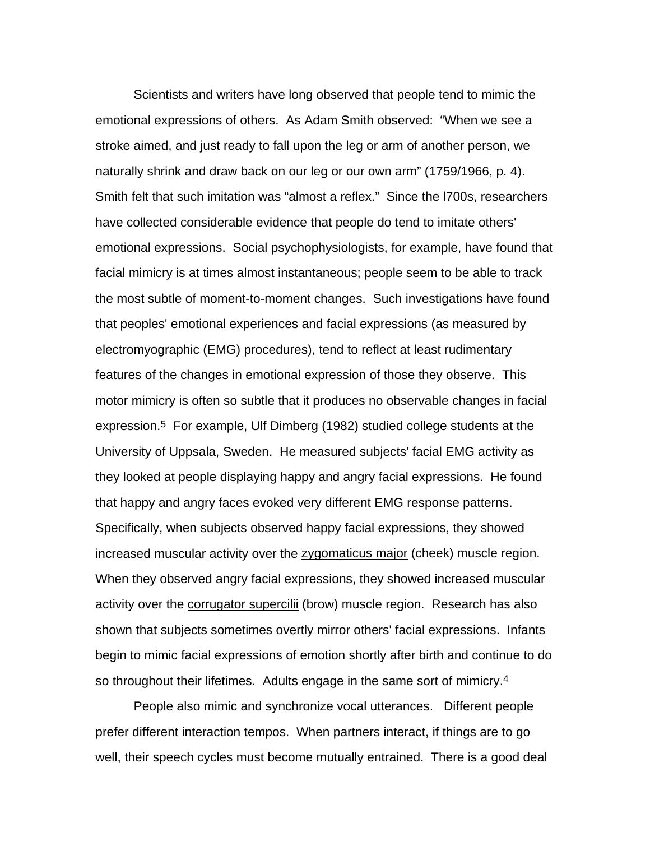Scientists and writers have long observed that people tend to mimic the emotional expressions of others. As Adam Smith observed: "When we see a stroke aimed, and just ready to fall upon the leg or arm of another person, we naturally shrink and draw back on our leg or our own arm" (1759/1966, p. 4). Smith felt that such imitation was "almost a reflex." Since the l700s, researchers have collected considerable evidence that people do tend to imitate others' emotional expressions. Social psychophysiologists, for example, have found that facial mimicry is at times almost instantaneous; people seem to be able to track the most subtle of moment-to-moment changes. Such investigations have found that peoples' emotional experiences and facial expressions (as measured by electromyographic (EMG) procedures), tend to reflect at least rudimentary features of the changes in emotional expression of those they observe. This motor mimicry is often so subtle that it produces no observable changes in facial expression.5 For example, Ulf Dimberg (1982) studied college students at the University of Uppsala, Sweden. He measured subjects' facial EMG activity as they looked at people displaying happy and angry facial expressions. He found that happy and angry faces evoked very different EMG response patterns. Specifically, when subjects observed happy facial expressions, they showed increased muscular activity over the zygomaticus major (cheek) muscle region. When they observed angry facial expressions, they showed increased muscular activity over the corrugator supercilii (brow) muscle region. Research has also shown that subjects sometimes overtly mirror others' facial expressions. Infants begin to mimic facial expressions of emotion shortly after birth and continue to do so throughout their lifetimes. Adults engage in the same sort of mimicry.<sup>4</sup>

 People also mimic and synchronize vocal utterances. Different people prefer different interaction tempos. When partners interact, if things are to go well, their speech cycles must become mutually entrained. There is a good deal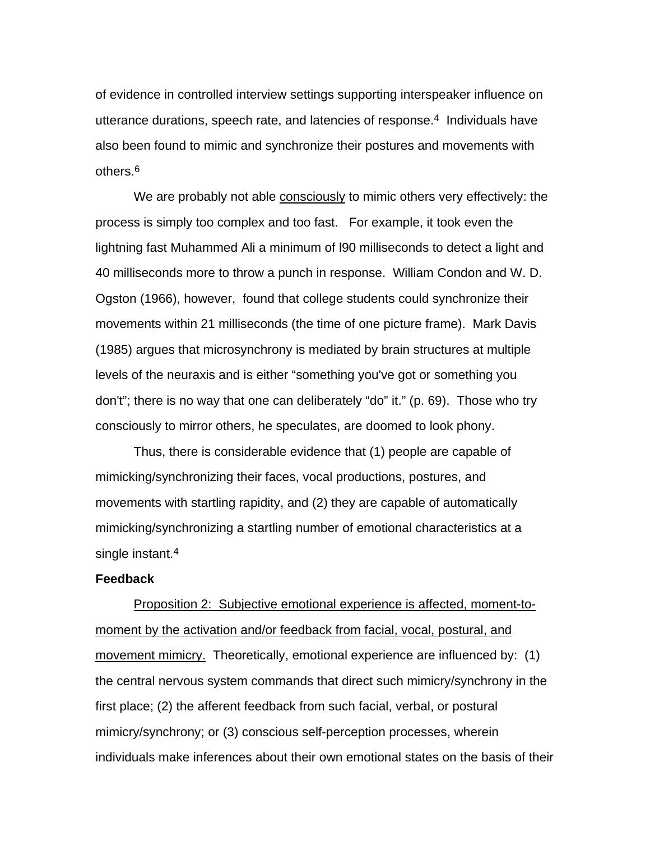of evidence in controlled interview settings supporting interspeaker influence on utterance durations, speech rate, and latencies of response.4 Individuals have also been found to mimic and synchronize their postures and movements with others.6

 We are probably not able consciously to mimic others very effectively: the process is simply too complex and too fast. For example, it took even the lightning fast Muhammed Ali a minimum of l90 milliseconds to detect a light and 40 milliseconds more to throw a punch in response. William Condon and W. D. Ogston (1966), however, found that college students could synchronize their movements within 21 milliseconds (the time of one picture frame). Mark Davis (1985) argues that microsynchrony is mediated by brain structures at multiple levels of the neuraxis and is either "something you've got or something you don't"; there is no way that one can deliberately "do" it." (p. 69). Those who try consciously to mirror others, he speculates, are doomed to look phony.

 Thus, there is considerable evidence that (1) people are capable of mimicking/synchronizing their faces, vocal productions, postures, and movements with startling rapidity, and (2) they are capable of automatically mimicking/synchronizing a startling number of emotional characteristics at a single instant.4

### **Feedback**

Proposition 2: Subjective emotional experience is affected, moment-tomoment by the activation and/or feedback from facial, vocal, postural, and movement mimicry. Theoretically, emotional experience are influenced by: (1) the central nervous system commands that direct such mimicry/synchrony in the first place; (2) the afferent feedback from such facial, verbal, or postural mimicry/synchrony; or (3) conscious self-perception processes, wherein individuals make inferences about their own emotional states on the basis of their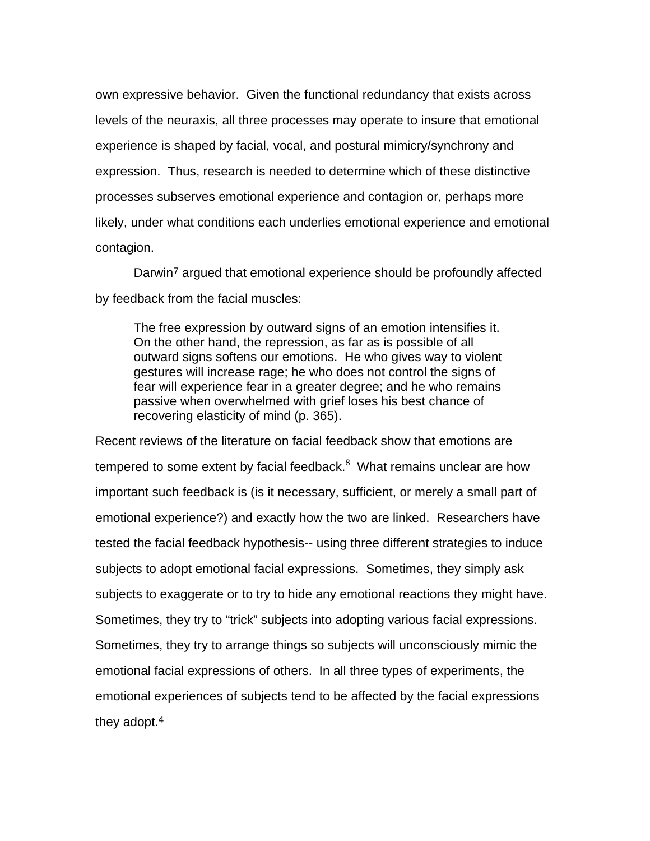own expressive behavior. Given the functional redundancy that exists across levels of the neuraxis, all three processes may operate to insure that emotional experience is shaped by facial, vocal, and postural mimicry/synchrony and expression. Thus, research is needed to determine which of these distinctive processes subserves emotional experience and contagion or, perhaps more likely, under what conditions each underlies emotional experience and emotional contagion.

Darwin<sup>7</sup> argued that emotional experience should be profoundly affected by feedback from the facial muscles:

The free expression by outward signs of an emotion intensifies it. On the other hand, the repression, as far as is possible of all outward signs softens our emotions. He who gives way to violent gestures will increase rage; he who does not control the signs of fear will experience fear in a greater degree; and he who remains passive when overwhelmed with grief loses his best chance of recovering elasticity of mind (p. 365).

Recent reviews of the literature on facial feedback show that emotions are tempered to some extent by facial feedback.<sup>8</sup> What remains unclear are how important such feedback is (is it necessary, sufficient, or merely a small part of emotional experience?) and exactly how the two are linked. Researchers have tested the facial feedback hypothesis-- using three different strategies to induce subjects to adopt emotional facial expressions. Sometimes, they simply ask subjects to exaggerate or to try to hide any emotional reactions they might have. Sometimes, they try to "trick" subjects into adopting various facial expressions. Sometimes, they try to arrange things so subjects will unconsciously mimic the emotional facial expressions of others. In all three types of experiments, the emotional experiences of subjects tend to be affected by the facial expressions they adopt.<sup>4</sup>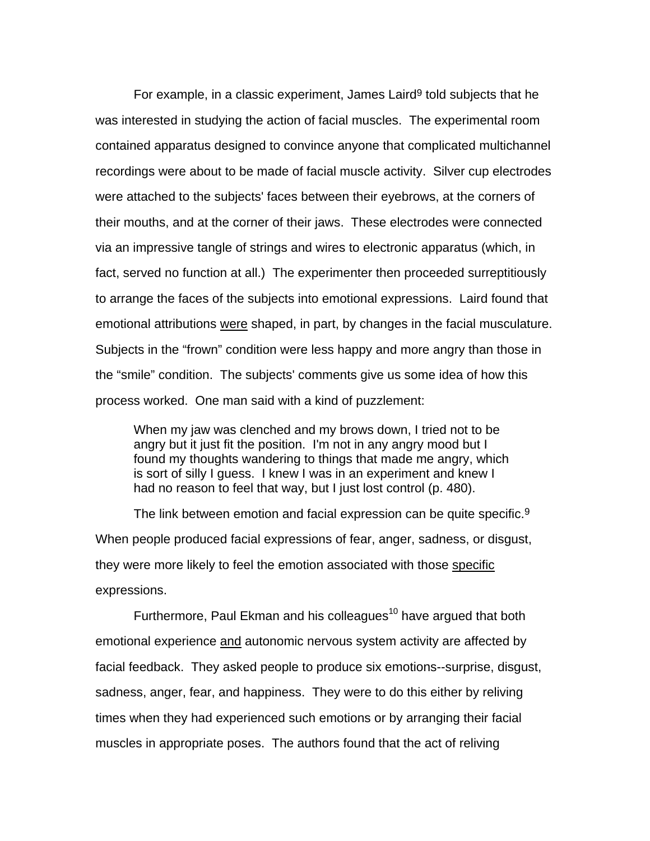For example, in a classic experiment, James Laird<sup>9</sup> told subjects that he was interested in studying the action of facial muscles. The experimental room contained apparatus designed to convince anyone that complicated multichannel recordings were about to be made of facial muscle activity. Silver cup electrodes were attached to the subjects' faces between their eyebrows, at the corners of their mouths, and at the corner of their jaws. These electrodes were connected via an impressive tangle of strings and wires to electronic apparatus (which, in fact, served no function at all.) The experimenter then proceeded surreptitiously to arrange the faces of the subjects into emotional expressions. Laird found that emotional attributions were shaped, in part, by changes in the facial musculature. Subjects in the "frown" condition were less happy and more angry than those in the "smile" condition. The subjects' comments give us some idea of how this process worked. One man said with a kind of puzzlement:

When my jaw was clenched and my brows down, I tried not to be angry but it just fit the position. I'm not in any angry mood but I found my thoughts wandering to things that made me angry, which is sort of silly I guess. I knew I was in an experiment and knew I had no reason to feel that way, but I just lost control (p. 480).

The link between emotion and facial expression can be quite specific.<sup>9</sup> When people produced facial expressions of fear, anger, sadness, or disgust, they were more likely to feel the emotion associated with those specific expressions.

Furthermore, Paul Ekman and his colleagues<sup>10</sup> have argued that both emotional experience and autonomic nervous system activity are affected by facial feedback. They asked people to produce six emotions--surprise, disgust, sadness, anger, fear, and happiness. They were to do this either by reliving times when they had experienced such emotions or by arranging their facial muscles in appropriate poses. The authors found that the act of reliving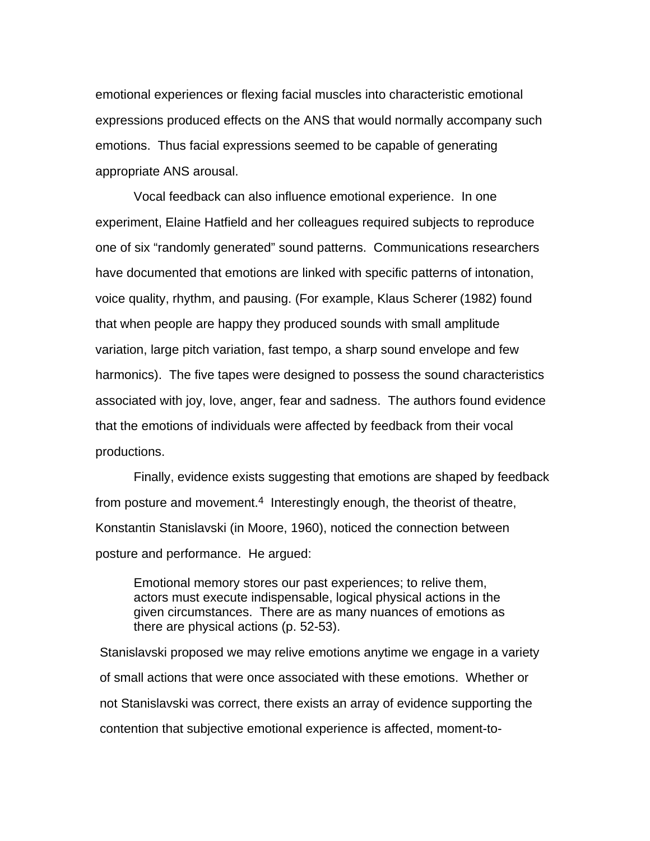emotional experiences or flexing facial muscles into characteristic emotional expressions produced effects on the ANS that would normally accompany such emotions. Thus facial expressions seemed to be capable of generating appropriate ANS arousal.

 Vocal feedback can also influence emotional experience. In one experiment, Elaine Hatfield and her colleagues required subjects to reproduce one of six "randomly generated" sound patterns. Communications researchers have documented that emotions are linked with specific patterns of intonation, voice quality, rhythm, and pausing. (For example, Klaus Scherer (1982) found that when people are happy they produced sounds with small amplitude variation, large pitch variation, fast tempo, a sharp sound envelope and few harmonics). The five tapes were designed to possess the sound characteristics associated with joy, love, anger, fear and sadness. The authors found evidence that the emotions of individuals were affected by feedback from their vocal productions.

 Finally, evidence exists suggesting that emotions are shaped by feedback from posture and movement.<sup>4</sup> Interestingly enough, the theorist of theatre, Konstantin Stanislavski (in Moore, 1960), noticed the connection between posture and performance. He argued:

Emotional memory stores our past experiences; to relive them, actors must execute indispensable, logical physical actions in the given circumstances. There are as many nuances of emotions as there are physical actions (p. 52-53).

Stanislavski proposed we may relive emotions anytime we engage in a variety of small actions that were once associated with these emotions. Whether or not Stanislavski was correct, there exists an array of evidence supporting the contention that subjective emotional experience is affected, moment-to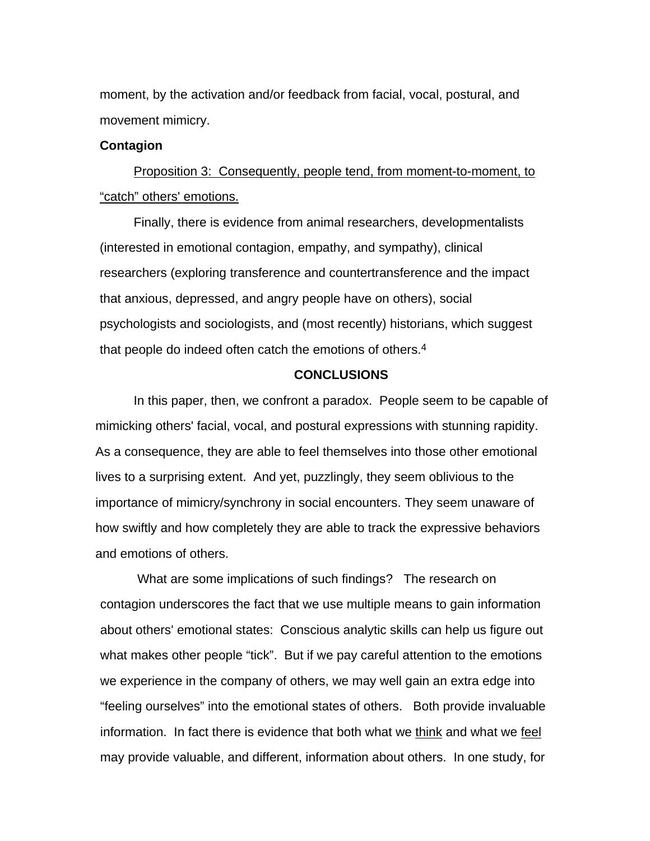moment, by the activation and/or feedback from facial, vocal, postural, and movement mimicry.

#### **Contagion**

Proposition 3: Consequently, people tend, from moment-to-moment, to "catch" others' emotions.

 Finally, there is evidence from animal researchers, developmentalists (interested in emotional contagion, empathy, and sympathy), clinical researchers (exploring transference and countertransference and the impact that anxious, depressed, and angry people have on others), social psychologists and sociologists, and (most recently) historians, which suggest that people do indeed often catch the emotions of others.4

#### **CONCLUSIONS**

In this paper, then, we confront a paradox. People seem to be capable of mimicking others' facial, vocal, and postural expressions with stunning rapidity. As a consequence, they are able to feel themselves into those other emotional lives to a surprising extent. And yet, puzzlingly, they seem oblivious to the importance of mimicry/synchrony in social encounters. They seem unaware of how swiftly and how completely they are able to track the expressive behaviors and emotions of others.

 What are some implications of such findings? The research on contagion underscores the fact that we use multiple means to gain information about others' emotional states: Conscious analytic skills can help us figure out what makes other people "tick". But if we pay careful attention to the emotions we experience in the company of others, we may well gain an extra edge into "feeling ourselves" into the emotional states of others. Both provide invaluable information. In fact there is evidence that both what we think and what we feel may provide valuable, and different, information about others. In one study, for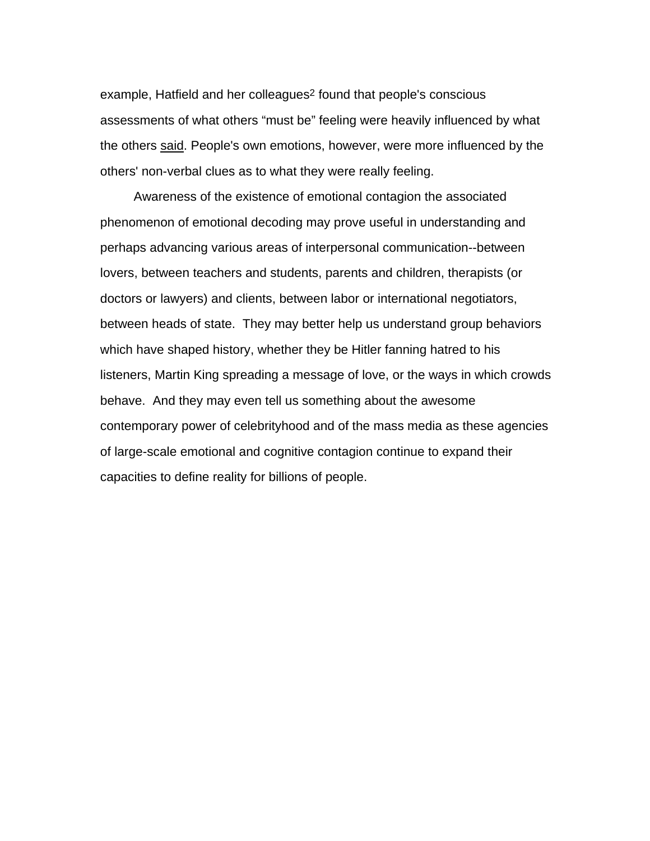example, Hatfield and her colleagues<sup>2</sup> found that people's conscious assessments of what others "must be" feeling were heavily influenced by what the others said. People's own emotions, however, were more influenced by the others' non-verbal clues as to what they were really feeling.

 Awareness of the existence of emotional contagion the associated phenomenon of emotional decoding may prove useful in understanding and perhaps advancing various areas of interpersonal communication--between lovers, between teachers and students, parents and children, therapists (or doctors or lawyers) and clients, between labor or international negotiators, between heads of state. They may better help us understand group behaviors which have shaped history, whether they be Hitler fanning hatred to his listeners, Martin King spreading a message of love, or the ways in which crowds behave. And they may even tell us something about the awesome contemporary power of celebrityhood and of the mass media as these agencies of large-scale emotional and cognitive contagion continue to expand their capacities to define reality for billions of people.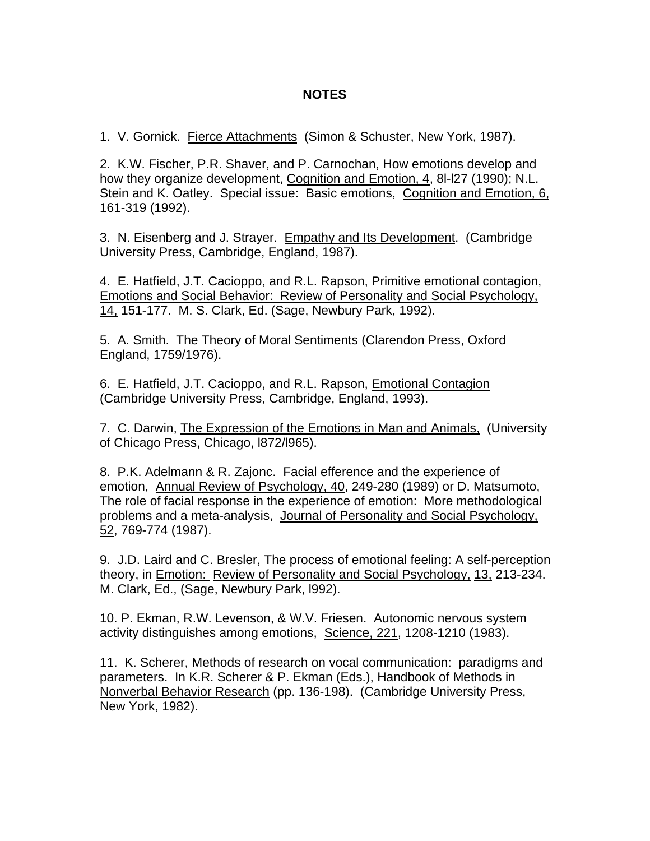## **NOTES**

1. V. Gornick. Fierce Attachments (Simon & Schuster, New York, 1987).

2. K.W. Fischer, P.R. Shaver, and P. Carnochan, How emotions develop and how they organize development, Cognition and Emotion, 4, 8l-l27 (1990); N.L. Stein and K. Oatley. Special issue: Basic emotions, Cognition and Emotion, 6, 161-319 (1992).

3. N. Eisenberg and J. Strayer. Empathy and Its Development. (Cambridge University Press, Cambridge, England, 1987).

4. E. Hatfield, J.T. Cacioppo, and R.L. Rapson, Primitive emotional contagion, Emotions and Social Behavior: Review of Personality and Social Psychology, 14, 151-177. M. S. Clark, Ed. (Sage, Newbury Park, 1992).

5. A. Smith. The Theory of Moral Sentiments (Clarendon Press, Oxford England, 1759/1976).

6. E. Hatfield, J.T. Cacioppo, and R.L. Rapson, Emotional Contagion (Cambridge University Press, Cambridge, England, 1993).

7. C. Darwin, The Expression of the Emotions in Man and Animals, (University of Chicago Press, Chicago, l872/l965).

8. P.K. Adelmann & R. Zajonc. Facial efference and the experience of emotion, Annual Review of Psychology, 40, 249-280 (1989) or D. Matsumoto, The role of facial response in the experience of emotion: More methodological problems and a meta-analysis, Journal of Personality and Social Psychology, 52, 769-774 (1987).

9. J.D. Laird and C. Bresler, The process of emotional feeling: A self-perception theory, in Emotion: Review of Personality and Social Psychology, 13, 213-234. M. Clark, Ed., (Sage, Newbury Park, l992).

10. P. Ekman, R.W. Levenson, & W.V. Friesen. Autonomic nervous system activity distinguishes among emotions, Science, 221, 1208-1210 (1983).

11. K. Scherer, Methods of research on vocal communication: paradigms and parameters. In K.R. Scherer & P. Ekman (Eds.), Handbook of Methods in Nonverbal Behavior Research (pp. 136-198). (Cambridge University Press, New York, 1982).